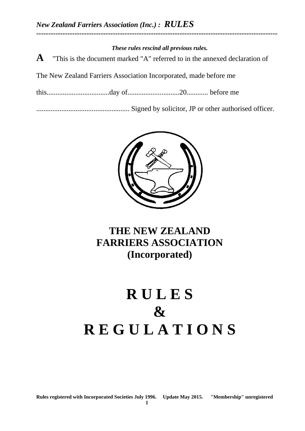#### *These rules rescind all previous rules.*

**-----------------------------------------------------------------------------------------------------**

**A** "This is the document marked "A" referred to in the annexed declaration of

The New Zealand Farriers Association Incorporated, made before me

this...................................day of.............................20............ before me

.................................................... Signed by solicitor, JP or other authorised officer.



# **THE NEW ZEALAND FARRIERS ASSOCIATION (Incorporated)**

# **R U L E S & R E G U L A T I O N S**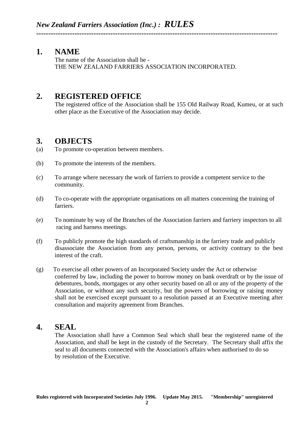# **1. NAME**

The name of the Association shall be - THE NEW ZEALAND FARRIERS ASSOCIATION INCORPORATED.

**-----------------------------------------------------------------------------------------------------**

# **2. REGISTERED OFFICE**

The registered office of the Association shall be 155 Old Railway Road, Kumeu, or at such other place as the Executive of the Association may decide.

# **3. OBJECTS**

- (a) To promote co-operation between members.
- (b) To promote the interests of the members.
- (c) To arrange where necessary the work of farriers to provide a competent service to the community.
- (d) To co-operate with the appropriate organisations on all matters concerning the training of farriers.
- (e) To nominate by way of the Branches of the Association farriers and farriery inspectors to all racing and harness meetings.
- (f) To publicly promote the high standards of craftsmanship in the farriery trade and publicly disassociate the Association from any person, persons, or activity contrary to the best interest of the craft.
- (g) To exercise all other powers of an Incorporated Society under the Act or otherwise conferred by law, including the power to borrow money on bank overdraft or by the issue of debentures, bonds, mortgages or any other security based on all or any of the property of the Association, or without any such security, but the powers of borrowing or raising money shall not be exercised except pursuant to a resolution passed at an Executive meeting after consultation and majority agreement from Branches.

# **4. SEAL**

The Association shall have a Common Seal which shall bear the registered name of the Association, and shall be kept in the custody of the Secretary. The Secretary shall affix the seal to all documents connected with the Association's affairs when authorised to do so by resolution of the Executive.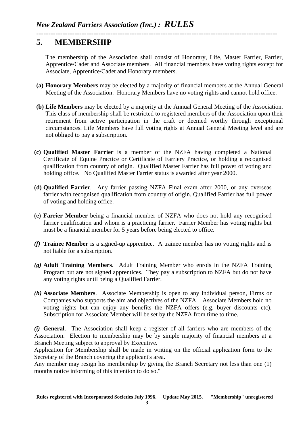### **----------------------------------------------------------------------------------------------------- 5. MEMBERSHIP**

The membership of the Association shall consist of Honorary, Life, Master Farrier, Farrier, Apprentice/Cadet and Associate members. All financial members have voting rights except for Associate, Apprentice/Cadet and Honorary members.

- **(a) Honorary Members** may be elected by a majority of financial members at the Annual General Meeting of the Association. Honorary Members have no voting rights and cannot hold office.
- **(b) Life Members** may be elected by a majority at the Annual General Meeting of the Association. This class of membership shall be restricted to registered members of the Association upon their retirement from active participation in the craft or deemed worthy through exceptional circumstances. Life Members have full voting rights at Annual General Meeting level and are not obliged to pay a subscription.
- **(c) Qualified Master Farrier** is a member of the NZFA having completed a National Certificate of Equine Practice or Certificate of Farriery Practice, or holding a recognised qualification from country of origin. Qualified Master Farrier has full power of voting and holding office. No Qualified Master Farrier status is awarded after year 2000.
- **(d) Qualified Farrier**. Any farrier passing NZFA Final exam after 2000, or any overseas farrier with recognised qualification from country of origin. Qualified Farrier has full power of voting and holding office.
- **(e) Farrier Member** being a financial member of NZFA who does not hold any recognised farrier qualification and whom is a practicing farrier. Farrier Member has voting rights but must be a financial member for 5 years before being elected to office.
- *(f)* **Trainee Member** is a signed-up apprentice. A trainee member has no voting rights and is not liable for a subscription.
- *(g)* **Adult Training Members**. Adult Training Member who enrols in the NZFA Training Program but are not signed apprentices. They pay a subscription to NZFA but do not have any voting rights until being a Qualified Farrier.
- *(h)* **Associate Members**. Associate Membership is open to any individual person, Firms or Companies who supports the aim and objectives of the NZFA. Associate Members hold no voting rights but can enjoy any benefits the NZFA offers (e.g. buyer discounts etc). Subscription for Associate Member will be set by the NZFA from time to time.

*(i)* **General**. The Association shall keep a register of all farriers who are members of the Association. Election to membership may be by simple majority of financial members at a Branch Meeting subject to approval by Executive.

Application for Membership shall be made in writing on the official application form to the Secretary of the Branch covering the applicant's area.

Any member may resign his membership by giving the Branch Secretary not less than one (1) months notice informing of this intention to do so."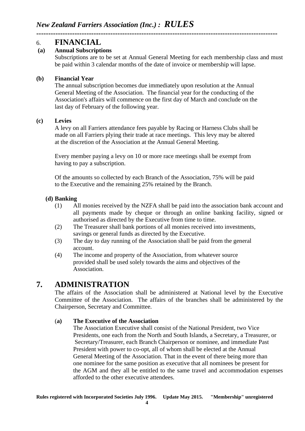# 6. **FINANCIAL**

#### **(a) Annual Subscriptions**

Subscriptions are to be set at Annual General Meeting for each membership class and must be paid within 3 calendar months of the date of invoice or membership will lapse.

#### **(b) Financial Year**

The annual subscription becomes due immediately upon resolution at the Annual General Meeting of the Association. The financial year for the conducting of the Association's affairs will commence on the first day of March and conclude on the last day of February of the following year.

**-----------------------------------------------------------------------------------------------------**

#### **(c) Levies**

A levy on all Farriers attendance fees payable by Racing or Harness Clubs shall be made on all Farriers plying their trade at race meetings. This levy may be altered at the discretion of the Association at the Annual General Meeting.

Every member paying a levy on 10 or more race meetings shall be exempt from having to pay a subscription.

Of the amounts so collected by each Branch of the Association, 75% will be paid to the Executive and the remaining 25% retained by the Branch.

#### **(d) Banking**

- (1) All monies received by the NZFA shall be paid into the association bank account and all payments made by cheque or through an online banking facility, signed or authorised as directed by the Executive from time to time.
- (2) The Treasurer shall bank portions of all monies received into investments, savings or general funds as directed by the Executive.
- (3) The day to day running of the Association shall be paid from the general account.
- (4) The income and property of the Association, from whatever source provided shall be used solely towards the aims and objectives of the Association.

# **7. ADMINISTRATION**

The affairs of the Association shall be administered at National level by the Executive Committee of the Association. The affairs of the branches shall be administered by the Chairperson, Secretary and Committee.

#### (**a) The Executive of the Association**

The Association Executive shall consist of the National President, two Vice Presidents, one each from the North and South Islands, a Secretary, a Treasurer, or Secretary/Treasurer, each Branch Chairperson or nominee, and immediate Past President with power to co-opt, all of whom shall be elected at the Annual General Meeting of the Association. That in the event of there being more than one nominee for the same position as executive that all nominees be present for the AGM and they all be entitled to the same travel and accommodation expenses afforded to the other executive attendees.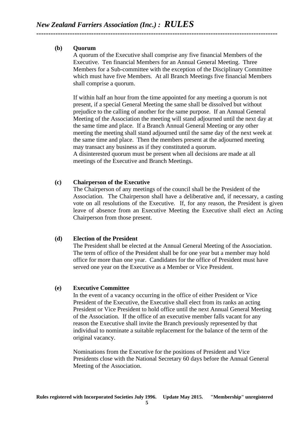#### **(b) Quorum**

A quorum of the Executive shall comprise any five financial Members of the Executive. Ten financial Members for an Annual General Meeting. Three Members for a Sub-committee with the exception of the Disciplinary Committee which must have five Members. At all Branch Meetings five financial Members shall comprise a quorum.

**-----------------------------------------------------------------------------------------------------**

If within half an hour from the time appointed for any meeting a quorum is not present, if a special General Meeting the same shall be dissolved but without prejudice to the calling of another for the same purpose. If an Annual General Meeting of the Association the meeting will stand adjourned until the next day at the same time and place. If a Branch Annual General Meeting or any other meeting the meeting shall stand adjourned until the same day of the next week at the same time and place. Then the members present at the adjourned meeting may transact any business as if they constituted a quorum. A disinterested quorum must be present when all decisions are made at all meetings of the Executive and Branch Meetings.

#### **(c) Chairperson of the Executive**

The Chairperson of any meetings of the council shall be the President of the Association. The Chairperson shall have a deliberative and, if necessary, a casting vote on all resolutions of the Executive. If, for any reason, the President is given leave of absence from an Executive Meeting the Executive shall elect an Acting Chairperson from those present.

#### **(d) Election of the President**

The President shall be elected at the Annual General Meeting of the Association. The term of office of the President shall be for one year but a member may hold office for more than one year. Candidates for the office of President must have served one year on the Executive as a Member or Vice President.

#### **(e) Executive Committee**

In the event of a vacancy occurring in the office of either President or Vice President of the Executive, the Executive shall elect from its ranks an acting President or Vice President to hold office until the next Annual General Meeting of the Association. If the office of an executive member falls vacant for any reason the Executive shall invite the Branch previously represented by that individual to nominate a suitable replacement for the balance of the term of the original vacancy.

Nominations from the Executive for the positions of President and Vice Presidents close with the National Secretary 60 days before the Annual General Meeting of the Association.

**5**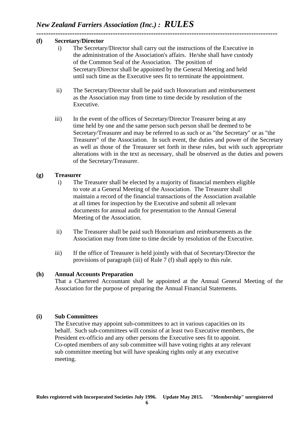#### **----------------------------------------------------------------------------------------------------- (f) Secretary/Director**

- i) The Secretary/Director shall carry out the instructions of the Executive in the administration of the Association's affairs. He/she shall have custody of the Common Seal of the Association. The position of Secretary/Director shall be appointed by the General Meeting and held until such time as the Executive sees fit to terminate the appointment.
- ii) The Secretary/Director shall be paid such Honorarium and reimbursement as the Association may from time to time decide by resolution of the Executive.
- iii) In the event of the offices of Secretary/Director Treasurer being at any time held by one and the same person such person shall be deemed to be Secretary/Treasurer and may be referred to as such or as "the Secretary" or as "the Treasurer" of the Association. In such event, the duties and power of the Secretary as well as those of the Treasurer set forth in these rules, but with such appropriate alterations with in the text as necessary, shall be observed as the duties and powers of the Secretary/Treasurer.

#### **(g) Treasurer**

- i) The Treasurer shall be elected by a majority of financial members eligible to vote at a General Meeting of the Association. The Treasurer shall maintain a record of the financial transactions of the Association available at all times for inspection by the Executive and submit all relevant documents for annual audit for presentation to the Annual General Meeting of the Association.
- ii) The Treasurer shall be paid such Honorarium and reimbursements as the Association may from time to time decide by resolution of the Executive.
- iii) If the office of Treasurer is held jointly with that of Secretary/Director the provisions of paragraph (iii) of Rule 7 (f) shall apply to this rule.

#### **(h) Annual Accounts Preparation**

That a Chartered Accountant shall be appointed at the Annual General Meeting of the Association for the purpose of preparing the Annual Financial Statements.

#### **(i) Sub Committees**

The Executive may appoint sub-committees to act in various capacities on its behalf. Such sub-committees will consist of at least two Executive members, the President ex-officio and any other persons the Executive sees fit to appoint. Co-opted members of any sub committee will have voting rights at any relevant sub committee meeting but will have speaking rights only at any executive meeting.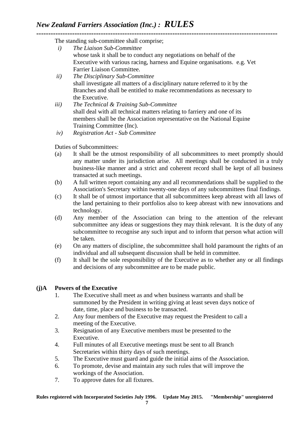**-----------------------------------------------------------------------------------------------------** The standing sub-committee shall comprise;

- *i) The Liaison Sub-Committee* whose task it shall be to conduct any negotiations on behalf of the Executive with various racing, harness and Equine organisations. e.g. Vet Farrier Liaison Committee.
- *ii) The Disciplinary Sub-Committee* shall investigate all matters of a disciplinary nature referred to it by the Branches and shall be entitled to make recommendations as necessary to the Executive.
- *iii) The Technical & Training Sub-Committee* shall deal with all technical matters relating to farriery and one of its members shall be the Association representative on the National Equine Training Committee (Inc).
- *iv) Registration Act - Sub Committee*

Duties of Subcommittees:

- (a) It shall be the utmost responsibility of all subcommittees to meet promptly should any matter under its jurisdiction arise. All meetings shall be conducted in a truly business-like manner and a strict and coherent record shall be kept of all business transacted at such meetings.
- (b) A full written report containing any and all recommendations shall be supplied to the Association's Secretary within twenty-one days of any subcommittees final findings.
- (c) It shall be of utmost importance that all subcommittees keep abreast with all laws of the land pertaining to their portfolios also to keep abreast with new innovations and technology.
- (d) Any member of the Association can bring to the attention of the relevant subcommittee any ideas or suggestions they may think relevant. It is the duty of any subcommittee to recognise any such input and to inform that person what action will be taken.
- (e) On any matters of discipline, the subcommittee shall hold paramount the rights of an individual and all subsequent discussion shall be held in committee.
- (f) It shall be the sole responsibility of the Executive as to whether any or all findings and decisions of any subcommittee are to be made public.

#### **(j)A Powers of the Executive**

- 1. The Executive shall meet as and when business warrants and shall be summoned by the President in writing giving at least seven days notice of date, time, place and business to be transacted.
- 2. Any four members of the Executive may request the President to call a meeting of the Executive.
- 3. Resignation of any Executive members must be presented to the Executive.
- 4. Full minutes of all Executive meetings must be sent to all Branch Secretaries within thirty days of such meetings.
- 5. The Executive must guard and guide the initial aims of the Association.
- 6. To promote, devise and maintain any such rules that will improve the workings of the Association.
- 7. To approve dates for all fixtures.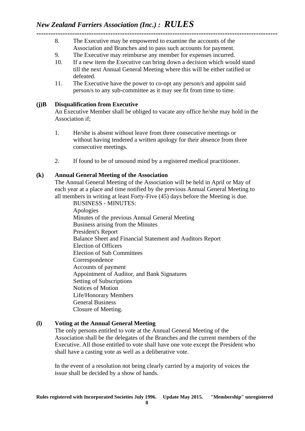- **-----------------------------------------------------------------------------------------------------** 8. The Executive may be empowered to examine the accounts of the Association and Branches and to pass such accounts for payment.
	- 9. The Executive may reimburse any member for expenses incurred.
	- 10. If a new item the Executive can bring down a decision which would stand till the next Annual General Meeting where this will be either ratified or defeated.
	- 11. The Executive have the power to co-opt any person/s and appoint said person/s to any sub-committee as it may see fit from time to time.

#### **(j)B Disqualification from Executive**

An Executive Member shall be obliged to vacate any office he/she may hold in the Association if;

- 1. He/she is absent without leave from three consecutive meetings or without having tendered a written apology for their absence from three consecutive meetings.
- 2. If found to be of unsound mind by a registered medical practitioner.

#### **(k) Annual General Meeting of the Association**

The Annual General Meeting of the Association will be held in April or May of each year at a place and time notified by the previous Annual General Meeting to all members in writing at least Forty-Five (45) days before the Meeting is due.

BUSINESS - MINUTES: Apologies Minutes of the previous Annual General Meeting Business arising from the Minutes President's Report Balance Sheet and Financial Statement and Auditors Report Election of Officers Election of Sub Committees Correspondence Accounts of payment Appointment of Auditor, and Bank Signatures Setting of Subscriptions Notices of Motion Life/Honorary Members General Business Closure of Meeting.

#### **(l) Voting at the Annual General Meeting**

The only persons entitled to vote at the Annual General Meeting of the Association shall be the delegates of the Branches and the current members of the Executive. All those entitled to vote shall have one vote except the President who shall have a casting vote as well as a deliberative vote.

In the event of a resolution not being clearly carried by a majority of voices the issue shall be decided by a show of hands.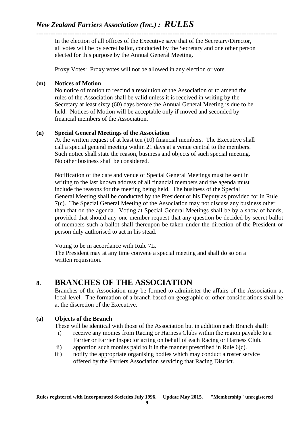# *New Zealand Farriers Association (Inc.) : RULES*

**-----------------------------------------------------------------------------------------------------** In the election of all offices of the Executive save that of the Secretary/Director, all votes will be by secret ballot, conducted by the Secretary and one other person elected for this purpose by the Annual General Meeting.

Proxy Votes: Proxy votes will not be allowed in any election or vote.

#### **(m) Notices of Motion**

No notice of motion to rescind a resolution of the Association or to amend the rules of the Association shall be valid unless it is received in writing by the Secretary at least sixty (60) days before the Annual General Meeting is due to be held. Notices of Motion will be acceptable only if moved and seconded by financial members of the Association.

#### **(n) Special General Meetings of the Association**

At the written request of at least ten (10) financial members. The Executive shall call a special general meeting within 21 days at a venue central to the members. Such notice shall state the reason, business and objects of such special meeting. No other business shall be considered.

Notification of the date and venue of Special General Meetings must be sent in writing to the last known address of all financial members and the agenda must include the reasons for the meeting being held. The business of the Special General Meeting shall be conducted by the President or his Deputy as provided for in Rule 7(c). The Special General Meeting of the Association may not discuss any business other than that on the agenda. Voting at Special General Meetings shall be by a show of hands, provided that should any one member request that any question be decided by secret ballot of members such a ballot shall thereupon be taken under the direction of the President or person duly authorised to act in his stead.

Voting to be in accordance with Rule 7L. The President may at any time convene a special meeting and shall do so on a written requisition.

## **8. BRANCHES OF THE ASSOCIATION**

Branches of the Association may be formed to administer the affairs of the Association at local level. The formation of a branch based on geographic or other considerations shall be at the discretion of the Executive.

#### **(a) Objects of the Branch**

These will be identical with those of the Association but in addition each Branch shall:

- i) receive any monies from Racing or Harness Clubs within the region payable to a Farrier or Farrier Inspector acting on behalf of each Racing or Harness Club.
- ii) apportion such monies paid to it in the manner prescribed in Rule 6(c).
- iii) notify the appropriate organising bodies which may conduct a roster service offered by the Farriers Association servicing that Racing District.

**9**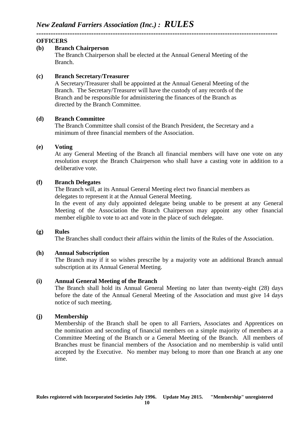#### **OFFICERS**

#### **(b) Branch Chairperson**

The Branch Chairperson shall be elected at the Annual General Meeting of the Branch.

#### **(c) Branch Secretary/Treasurer**

**-----------------------------------------------------------------------------------------------------**

A Secretary/Treasurer shall be appointed at the Annual General Meeting of the Branch. The Secretary/Treasurer will have the custody of any records of the Branch and be responsible for administering the finances of the Branch as directed by the Branch Committee.

#### **(d) Branch Committee**

The Branch Committee shall consist of the Branch President, the Secretary and a minimum of three financial members of the Association.

#### **(e) Voting**

At any General Meeting of the Branch all financial members will have one vote on any resolution except the Branch Chairperson who shall have a casting vote in addition to a deliberative vote.

#### **(f) Branch Delegates**

The Branch will, at its Annual General Meeting elect two financial members as delegates to represent it at the Annual General Meeting.

In the event of any duly appointed delegate being unable to be present at any General Meeting of the Association the Branch Chairperson may appoint any other financial member eligible to vote to act and vote in the place of such delegate.

#### **(g) Rules**

The Branches shall conduct their affairs within the limits of the Rules of the Association.

#### **(h) Annual Subscription**

The Branch may if it so wishes prescribe by a majority vote an additional Branch annual subscription at its Annual General Meeting.

#### **(i) Annual General Meeting of the Branch**

The Branch shall hold its Annual General Meeting no later than twenty-eight (28) days before the date of the Annual General Meeting of the Association and must give 14 days notice of such meeting.

#### **(j) Membership**

Membership of the Branch shall be open to all Farriers, Associates and Apprentices on the nomination and seconding of financial members on a simple majority of members at a Committee Meeting of the Branch or a General Meeting of the Branch. All members of Branches must be financial members of the Association and no membership is valid until accepted by the Executive. No member may belong to more than one Branch at any one time.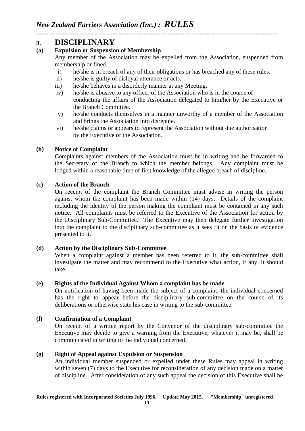## **9. DISCIPLINARY**

#### **(a) Expulsion or Suspension of Membership**

Any member of the Association may be expelled from the Association, suspended from membership or fined.

i) he/she is in breach of any of their obligations or has breached any of these rules.

**-----------------------------------------------------------------------------------------------------**

- ii) he/she is guilty of disloyal utterance or acts.
- iii) he/she behaves in a disorderly manner at any Meeting.
- iv) he/she is abusive to any officer of the Association who is in the course of conducting the affairs of the Association delegated to him/her by the Executive or the Branch Committee.
- v) he/she conducts themselves in a manner unworthy of a member of the Association and brings the Association into disrepute.
- vi) he/she claims or appears to represent the Association without due authorisation by the Executive of the Association.

#### **(b) Notice of Complaint**

Complaints against members of the Association must be in writing and be forwarded to the Secretary of the Branch to which the member belongs. Any complaint must be lodged within a reasonable time of first knowledge of the alleged breach of discipline.

#### **(c) Action of the Branch**

On receipt of the complaint the Branch Committee must advise in writing the person against whom the complaint has been made within (14) days. Details of the complaint including the identity of the person making the complaint must be contained in any such notice. All complaints must be referred to the Executive of the Association for action by the Disciplinary Sub-Committee. The Executive may then delegate further investigation into the complaint to the disciplinary sub-committee as it sees fit on the basis of evidence presented to it.

#### **(d) Action by the Disciplinary Sub-Committee**

When a complaint against a member has been referred to it, the sub-committee shall investigate the matter and may recommend to the Executive what action, if any, it should take.

#### **(e) Rights of the Individual Against Whom a complaint has be made**

On notification of having been made the subject of a complaint, the individual concerned has the right to appear before the disciplinary sub-committee on the course of its deliberations or otherwise state his case in writing to the sub-committee.

#### **(f) Confirmation of a Complaint**

On receipt of a written report by the Convenor of the disciplinary sub-committee the Executive may decide to give a warning from the Executive, whatever it may be, shall be communicated in writing to the individual concerned.

#### **(g) Right of Appeal against Expulsion or Suspension**

An individual member suspended or expelled under these Rules may appeal in writing within seven (7) days to the Executive for reconsideration of any decision made on a matter of discipline. After consideration of any such appeal the decision of this Executive shall be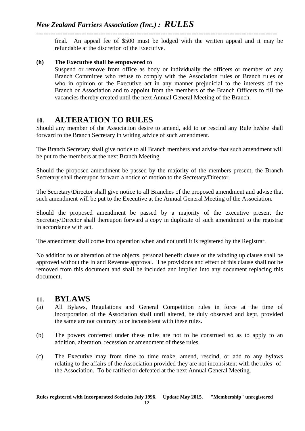final. An appeal fee of \$500 must be lodged with the written appeal and it may be refundable at the discretion of the Executive.

**-----------------------------------------------------------------------------------------------------**

#### **(h) The Executive shall be empowered to**

Suspend or remove from office as body or individually the officers or member of any Branch Committee who refuse to comply with the Association rules or Branch rules or who in opinion or the Executive act in any manner prejudicial to the interests of the Branch or Association and to appoint from the members of the Branch Officers to fill the vacancies thereby created until the next Annual General Meeting of the Branch.

# **10. ALTERATION TO RULES**

Should any member of the Association desire to amend, add to or rescind any Rule he/she shall forward to the Branch Secretary in writing advice of such amendment.

The Branch Secretary shall give notice to all Branch members and advise that such amendment will be put to the members at the next Branch Meeting.

Should the proposed amendment be passed by the majority of the members present, the Branch Secretary shall thereupon forward a notice of motion to the Secretary/Director.

The Secretary/Director shall give notice to all Branches of the proposed amendment and advise that such amendment will be put to the Executive at the Annual General Meeting of the Association.

Should the proposed amendment be passed by a majority of the executive present the Secretary/Director shall thereupon forward a copy in duplicate of such amendment to the registrar in accordance with act.

The amendment shall come into operation when and not until it is registered by the Registrar.

No addition to or alteration of the objects, personal benefit clause or the winding up clause shall be approved without the Inland Revenue approval. The provisions and effect of this clause shall not be removed from this document and shall be included and implied into any document replacing this document.

## **11. BYLAWS**

- (a) All Bylaws, Regulations and General Competition rules in force at the time of incorporation of the Association shall until altered, be duly observed and kept, provided the same are not contrary to or inconsistent with these rules.
- (b) The powers conferred under these rules are not to be construed so as to apply to an addition, alteration, recession or amendment of these rules.
- (c) The Executive may from time to time make, amend, rescind, or add to any bylaws relating to the affairs of the Association provided they are not inconsistent with the rules of the Association. To be ratified or defeated at the next Annual General Meeting.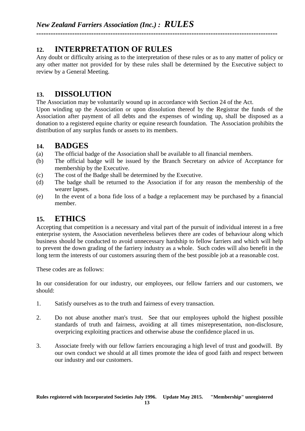# **12. INTERPRETATION OF RULES**

Any doubt or difficulty arising as to the interpretation of these rules or as to any matter of policy or any other matter not provided for by these rules shall be determined by the Executive subject to review by a General Meeting.

**-----------------------------------------------------------------------------------------------------**

# **13. DISSOLUTION**

The Association may be voluntarily wound up in accordance with Section 24 of the Act.

Upon winding up the Association or upon dissolution thereof by the Registrar the funds of the Association after payment of all debts and the expenses of winding up, shall be disposed as a donation to a registered equine charity or equine research foundation. The Association prohibits the distribution of any surplus funds or assets to its members.

## **14. BADGES**

- (a) The official badge of the Association shall be available to all financial members.
- (b) The official badge will be issued by the Branch Secretary on advice of Acceptance for membership by the Executive.
- (c) The cost of the Badge shall be determined by the Executive.
- (d) The badge shall be returned to the Association if for any reason the membership of the wearer lapses.
- (e) In the event of a bona fide loss of a badge a replacement may be purchased by a financial member.

# **15. ETHICS**

Accepting that competition is a necessary and vital part of the pursuit of individual interest in a free enterprise system, the Association nevertheless believes there are codes of behaviour along which business should be conducted to avoid unnecessary hardship to fellow farriers and which will help to prevent the down grading of the farriery industry as a whole. Such codes will also benefit in the long term the interests of our customers assuring them of the best possible job at a reasonable cost.

These codes are as follows:

In our consideration for our industry, our employees, our fellow farriers and our customers, we should:

- 1. Satisfy ourselves as to the truth and fairness of every transaction.
- 2. Do not abuse another man's trust. See that our employees uphold the highest possible standards of truth and fairness, avoiding at all times misrepresentation, non-disclosure, overpricing exploiting practices and otherwise abuse the confidence placed in us.
- 3. Associate freely with our fellow farriers encouraging a high level of trust and goodwill. By our own conduct we should at all times promote the idea of good faith and respect between our industry and our customers.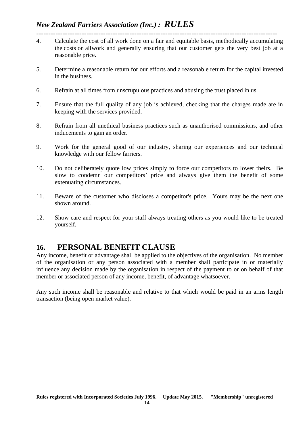- **-----------------------------------------------------------------------------------------------------** 4. Calculate the cost of all work done on a fair and equitable basis, methodically accumulating the costs on allwork and generally ensuring that our customer gets the very best job at a reasonable price.
- 5. Determine a reasonable return for our efforts and a reasonable return for the capital invested in the business.
- 6. Refrain at all times from unscrupulous practices and abusing the trust placed in us.
- 7. Ensure that the full quality of any job is achieved, checking that the charges made are in keeping with the services provided.
- 8. Refrain from all unethical business practices such as unauthorised commissions, and other inducements to gain an order.
- 9. Work for the general good of our industry, sharing our experiences and our technical knowledge with our fellow farriers.
- 10. Do not deliberately quote low prices simply to force our competitors to lower theirs. Be slow to condemn our competitors' price and always give them the benefit of some extenuating circumstances.
- 11. Beware of the customer who discloses a competitor's price. Yours may be the next one shown around.
- 12. Show care and respect for your staff always treating others as you would like to be treated yourself.

## **16. PERSONAL BENEFIT CLAUSE**

Any income, benefit or advantage shall be applied to the objectives of the organisation. No member of the organisation or any person associated with a member shall participate in or materially influence any decision made by the organisation in respect of the payment to or on behalf of that member or associated person of any income, benefit, of advantage whatsoever.

Any such income shall be reasonable and relative to that which would be paid in an arms length transaction (being open market value).